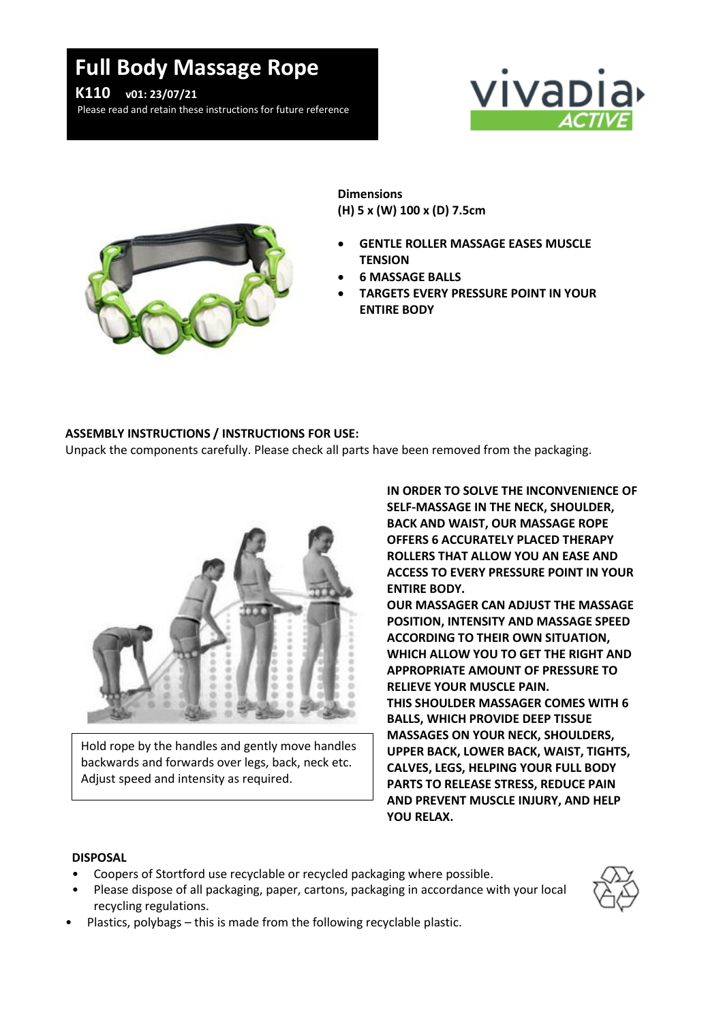## **Full Body Massage Rope**



Please read and retain these instructions for future reference





**Dimensions (H) 5 x (W) 100 x (D) 7.5cm**

- **GENTLE ROLLER MASSAGE EASES MUSCLE TENSION**
- **6 MASSAGE BALLS**
- **TARGETS EVERY PRESSURE POINT IN YOUR ENTIRE BODY**

## **ASSEMBLY INSTRUCTIONS / INSTRUCTIONS FOR USE:**

Unpack the components carefully. Please check all parts have been removed from the packaging.



Hold rope by the handles and gently move handles backwards and forwards over legs, back, neck etc. Adjust speed and intensity as required.

**IN ORDER TO SOLVE THE INCONVENIENCE OF SELF-MASSAGE IN THE NECK, SHOULDER, BACK AND WAIST, OUR MASSAGE ROPE OFFERS 6 ACCURATELY PLACED THERAPY ROLLERS THAT ALLOW YOU AN EASE AND ACCESS TO EVERY PRESSURE POINT IN YOUR ENTIRE BODY.**

**OUR MASSAGER CAN ADJUST THE MASSAGE POSITION, INTENSITY AND MASSAGE SPEED ACCORDING TO THEIR OWN SITUATION, WHICH ALLOW YOU TO GET THE RIGHT AND APPROPRIATE AMOUNT OF PRESSURE TO RELIEVE YOUR MUSCLE PAIN. THIS SHOULDER MASSAGER COMES WITH 6 BALLS, WHICH PROVIDE DEEP TISSUE MASSAGES ON YOUR NECK, SHOULDERS, UPPER BACK, LOWER BACK, WAIST, TIGHTS, CALVES, LEGS, HELPING YOUR FULL BODY PARTS TO RELEASE STRESS, REDUCE PAIN AND PREVENT MUSCLE INJURY, AND HELP YOU RELAX.**

## **DISPOSAL**

- Coopers of Stortford use recyclable or recycled packaging where possible.
- Please dispose of all packaging, paper, cartons, packaging in accordance with your local recycling regulations.



• Plastics, polybags – this is made from the following recyclable plastic.